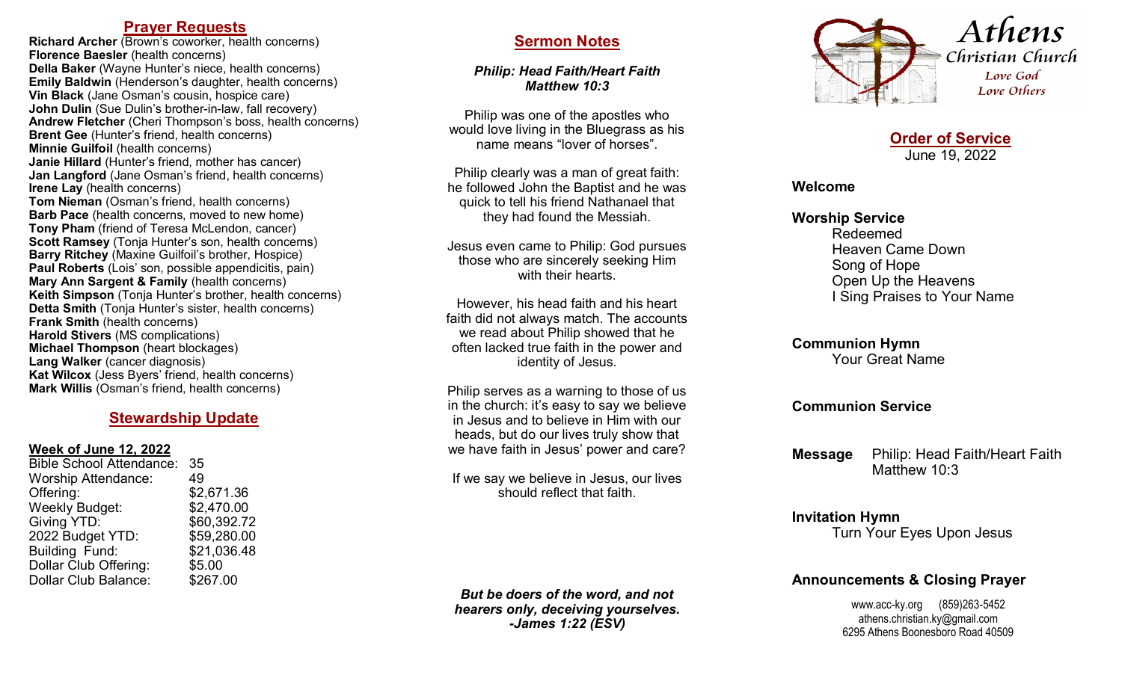## **Prayer Requests**

**Richard Archer** (Brown's coworker, health concerns) **Florence Baesler** (health concerns) **Della Baker** (Wayne Hunter's niece, health concerns) **Emily Baldwin** (Henderson's daughter, health concerns) **Vin Black** (Jane Osman's cousin, hospice care) **John Dulin** (Sue Dulin's brother-in-law, fall recovery) Andrew Fletcher (Cheri Thompson's boss, health concerns) **Brent Gee** (Hunter's friend, health concerns) **Minnie Guilfoil** (health concerns) **Janie Hillard** (Hunter's friend, mother has cancer) **Jan Langford** (Jane Osman's friend, health concerns) **Irene Lay** (health concerns) **Tom Nieman** (Osman's friend, health concerns) **Barb Pace** (health concerns, moved to new home) **Tony Pham** (friend of Teresa McLendon, cancer) **Scott Ramsey** (Tonja Hunter's son, health concerns) **Barry Ritchey** (Maxine Guilfoil's brother, Hospice) **Paul Roberts** (Lois' son, possible appendicitis, pain) **Mary Ann Sargent & Family** (health concerns) **Keith Simpson** (Tonja Hunter's brother, health concerns) **Detta Smith (Tonja Hunter's sister, health concerns) Frank Smith** (health concerns) **Harold Stivers** (MS complications) **Michael Thompson** (heart blockages) **Lang Walker** (cancer diagnosis) **Kat Wilcox** (Jess Byers' friend, health concerns) **Mark Willis** (Osman's friend, health concerns)

## **Stewardship Update**

#### **Week of June 12, 2022**

| <b>Bible School Attendance:</b> | 35          |
|---------------------------------|-------------|
| <b>Worship Attendance:</b>      | 49          |
| Offering:                       | \$2,671.36  |
| Weekly Budget:                  | \$2,470.00  |
| Giving YTD:                     | \$60,392.72 |
| 2022 Budget YTD:                | \$59,280.00 |
| <b>Building Fund:</b>           | \$21,036.48 |
| Dollar Club Offering:           | \$5.00      |
| Dollar Club Balance:            | \$267.00    |
|                                 |             |

# **Sermon Notes**

*Philip: Head Faith/Heart Faith Matthew 10:3*

Philip was one of the apostles who would love living in the Bluegrass as his name means "lover of horses".

Philip clearly was a man of great faith: he followed John the Baptist and he was quick to tell his friend Nathanael that they had found the Messiah.

Jesus even came to Philip: God pursues those who are sincerely seeking Him with their hearts.

However, his head faith and his heart faith did not always match. The accounts we read about Philip showed that he often lacked true faith in the power and identity of Jesus.

Philip serves as a warning to those of us in the church: it's easy to say we believe in Jesus and to believe in Him with our heads, but do our lives truly show that we have faith in Jesus' power and care?

If we say we believe in Jesus, our lives should reflect that faith.

*But be doers of the word, and not hearers only, deceiving yourselves. -James 1:22 (ESV)*



**Order of Service** June 19, 2022

#### **Welcome**

#### **Worship Service**

Redeemed Heaven Came Down Song of Hope Open Up the Heavens I Sing Praises to Your Name

## **Communion Hymn**

Your Great Name

### **Communion Service**

**Message** Philip: Head Faith/Heart Faith Matthew 10:3

# **Invitation Hymn**

Turn Your Eyes Upon Jesus

# **Announcements & Closing Prayer**

www.acc-ky.org (859)263-5452 athens.christian.ky@gmail.com 6295 Athens Boonesboro Road 40509